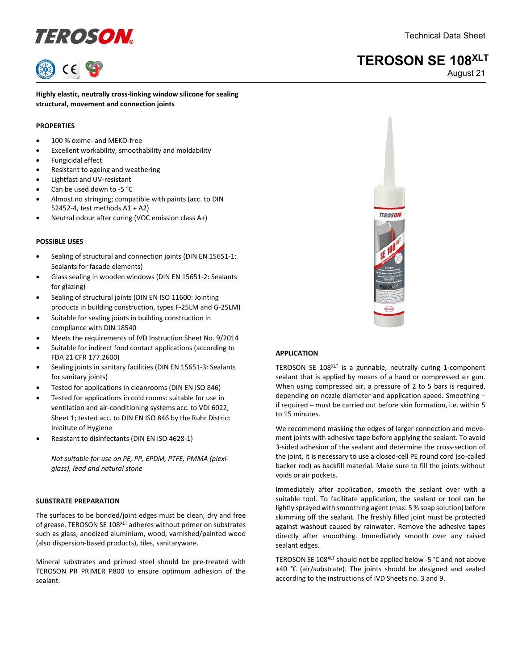# definition of the COSON and the Contract of the Contract October 1999 and the Contract October 1999 and the Contract October 1999 and the Contract October 1999 and the Contract October 1999 and the Contract October 1999 an

### **TEROSON SE 108XLT**

August 21

**Highly elastic, neutrally cross-linking window silicone for sealing structural, movement and connection joints**

#### **PROPERTIES**

- 100 % oxime- and MEKO-free
- Excellent workability, smoothability and moldability
- Fungicidal effect
- Resistant to ageing and weathering
- Lightfast and UV-resistant
- Can be used down to -5 °C
- Almost no stringing; compatible with paints (acc. to DIN 52452-4, test methods A1 + A2)
- Neutral odour after curing (VOC emission class A+)

#### **POSSIBLE USES**

- Sealing of structural and connection joints (DIN EN 15651-1: Sealants for facade elements)
- Glass sealing in wooden windows (DIN EN 15651-2: Sealants for glazing)
- Sealing of structural joints (DIN EN ISO 11600: Jointing products in building construction, types F-25LM and G-25LM)
- Suitable for sealing joints in building construction in compliance with DIN 18540
- Meets the requirements of IVD Instruction Sheet No. 9/2014
- Suitable for indirect food contact applications (according to FDA 21 CFR 177.2600)
- Sealing joints in sanitary facilities (DIN EN 15651-3: Sealants for sanitary joints)
- Tested for applications in cleanrooms (DIN EN ISO 846)
- Tested for applications in cold rooms: suitable for use in ventilation and air-conditioning systems acc. to VDI 6022, Sheet 1; tested acc. to DIN EN ISO 846 by the Ruhr District Institute of Hygiene
- Resistant to disinfectants (DIN EN ISO 4628-1)

*Not suitable for use on PE, PP, EPDM, PTFE, PMMA (plexiglass), lead and natural stone*

#### **SUBSTRATE PREPARATION**

The surfaces to be bonded/joint edges must be clean, dry and free of grease. TEROSON SE 108XLT adheres without primer on substrates such as glass, anodized aluminium, wood, varnished/painted wood (also dispersion-based products), tiles, sanitaryware.

Mineral substrates and primed steel should be pre-treated with TEROSON PR PRIMER P800 to ensure optimum adhesion of the sealant.



#### **APPLICATION**

TEROSON SE 108XLT is a gunnable, neutrally curing 1-component sealant that is applied by means of a hand or compressed air gun. When using compressed air, a pressure of 2 to 5 bars is required, depending on nozzle diameter and application speed. Smoothing – if required – must be carried out before skin formation, i.e. within 5 to 15 minutes.

We recommend masking the edges of larger connection and movement joints with adhesive tape before applying the sealant. To avoid 3-sided adhesion of the sealant and determine the cross-section of the joint, it is necessary to use a closed-cell PE round cord (so-called backer rod) as backfill material. Make sure to fill the joints without voids or air pockets.

Immediately after application, smooth the sealant over with a suitable tool. To facilitate application, the sealant or tool can be lightly sprayed with smoothing agent (max. 5 % soap solution) before skimming off the sealant. The freshly filled joint must be protected against washout caused by rainwater. Remove the adhesive tapes directly after smoothing. Immediately smooth over any raised sealant edges.

TEROSON SE 108<sup>XLT</sup> should not be applied below -5 °C and not above +40 °C (air/substrate). The joints should be designed and sealed according to the instructions of IVD Sheets no. 3 and 9.